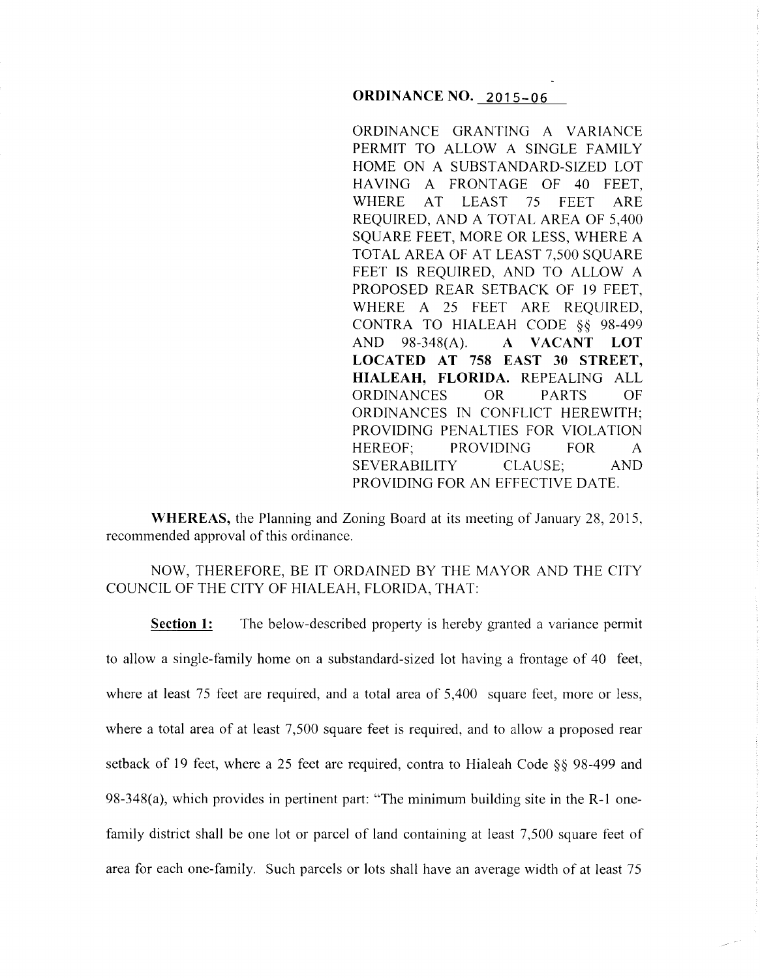### **ORDINANCE NO. 2015-06**

ORDINANCE GRANTING A VARIANCE PERMIT TO ALLOW A SINGLE FAMILY HOME ON A SUBSTANDARD-SIZED LOT HAVING A FRONTAGE OF 40 FEET, WHERE AT LEAST 75 FEET ARE REQUIRED, AND A TOTAL AREA OF 5,400 SQUARE FEET, MORE OR LESS, WHERE A TOTAL AREA OF AT LEAST 7,500 SQUARE FEET IS REQUIRED, AND TO ALLOW A PROPOSED REAR SETBACK OF 19 FEET. WHERE A 25 FEET ARE REQUIRED, CONTRA TO HIALEAH CODE §§ 98-499 AND 98-348(A). **A VACANT LOT LOCATED AT 758 EAST 30 STREET, HIALEAH, FLORIDA.** REPEALING ALL ORDINANCES OR PARTS OF ORDINANCES IN CONFLICT HEREWITH; PROVIDING PENALTIES FOR VIOLATION HEREOF; PROVIDING FOR A SEVERABILITY CLAUSE; AND PROVIDING FOR AN EFFECTIVE DATE.

**WHEREAS,** the Planning and Zoning Board at its meeting of January 28, 2015, recommended approval of this ordinance.

# NOW, THEREFORE, BE IT ORDAINED BY THE MAYOR AND THE CITY COUNCIL OF THE CITY OF HIALEAH, FLORIDA, THAT:

**Section 1:** The below-described property is hereby granted a variance permit to allow a single-family home on a substandard-sized lot having a frontage of 40 feet, where at least 75 feet are required, and a total area of 5,400 square feet, more or less, where a total area of at least 7,500 square feet is required, and to allow a proposed rear setback of 19 feet, where a 25 feet are required, contra to Hialeah Code §§ 98-499 and 98-348(a), which provides in pertinent part: "The minimum building site in the R-1 onefamily district shall be one lot or parcel of land containing at least 7,500 square feet of area for each one-family. Such parcels or lots shall have an average width of at least 75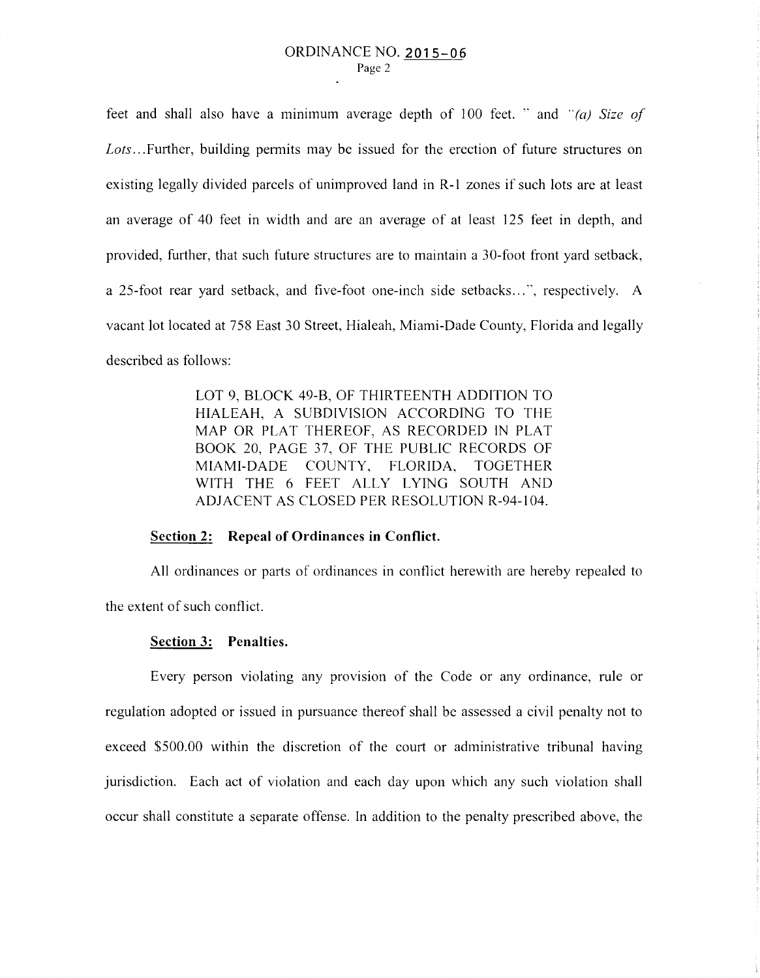feet and shall also have a minimum average depth of 100 feet.  $\cdot$  and  $\cdot$ *<sup>'</sup>(a) Size of* Lots...Further, building permits may be issued for the erection of future structures on existing legally divided parcels of unimproved land in R-1 zones if such lots are at least an average of 40 feet in width and are an average of at least 125 feet in depth, and provided, further, that such future structures are to maintain a 30-foot front yard setback, a 25-foot rear yard setback, and five-foot one-inch side setbacks ... ", respectively. A vacant lot located at 758 East 30 Street, Hialeah, Miami-Dade County, Florida and legally described as follows:

> LOT 9, BLOCK 49-B, OF THIRTEENTH ADDITION TO HIALEAH, A SUBDIVISION ACCORDING TO THE MAP OR PLAT THEREOF, AS RECORDED IN PLAT BOOK 20, PAGE 37, OF THE PUBLIC RECORDS OF MIAMI-DADE COUNTY, FLORIDA, TOGETHER WITH THE 6 FEET ALLY LYING SOUTH AND ADJACENT AS CLOSED PER RESOLUTION R-94-104.

### **Section 2: Repeal of Ordinances in Conflict.**

All ordinances or parts of ordinances in conflict herewith are hereby repealed to the extent of such conflict.

#### **Section 3: Penalties.**

Every person violating any provision of the Code or any ordinance, rule or regulation adopted or issued in pursuance thereof shall be assessed a civil penalty not to exceed \$500.00 within the discretion of the court or administrative tribunal having jurisdiction. Each act of violation and each day upon which any such violation shall occur shall constitute a separate offense. In addition to the penalty prescribed above, the